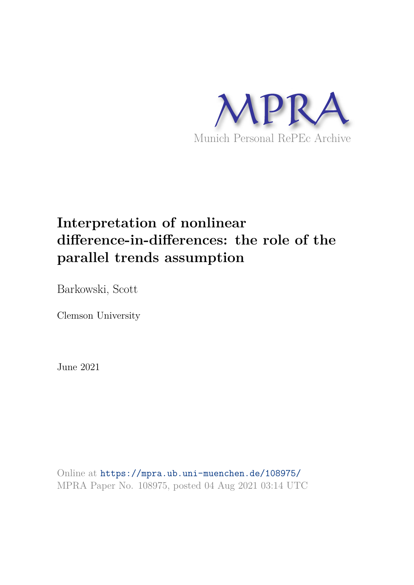

# **Interpretation of nonlinear difference-in-differences: the role of the parallel trends assumption**

Barkowski, Scott

Clemson University

June 2021

Online at https://mpra.ub.uni-muenchen.de/108975/ MPRA Paper No. 108975, posted 04 Aug 2021 03:14 UTC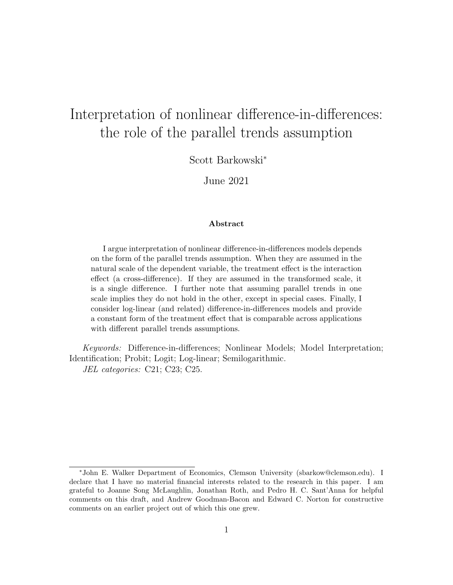## Interpretation of nonlinear difference-in-differences: the role of the parallel trends assumption

Scott Barkowski<sup>∗</sup>

June 2021

#### Abstract

I argue interpretation of nonlinear difference-in-differences models depends on the form of the parallel trends assumption. When they are assumed in the natural scale of the dependent variable, the treatment effect is the interaction effect (a cross-difference). If they are assumed in the transformed scale, it is a single difference. I further note that assuming parallel trends in one scale implies they do not hold in the other, except in special cases. Finally, I consider log-linear (and related) difference-in-differences models and provide a constant form of the treatment effect that is comparable across applications with different parallel trends assumptions.

Keywords: Difference-in-differences; Nonlinear Models; Model Interpretation; Identification; Probit; Logit; Log-linear; Semilogarithmic. JEL categories: C21; C23; C25.

<sup>∗</sup>John E. Walker Department of Economics, Clemson University (sbarkow@clemson.edu). I declare that I have no material financial interests related to the research in this paper. I am grateful to Joanne Song McLaughlin, Jonathan Roth, and Pedro H. C. Sant'Anna for helpful comments on this draft, and Andrew Goodman-Bacon and Edward C. Norton for constructive comments on an earlier project out of which this one grew.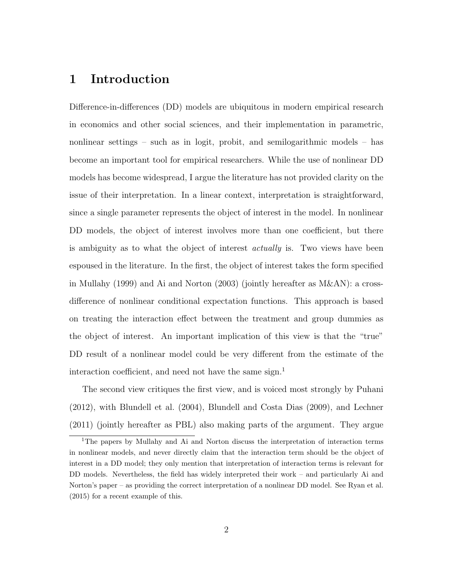## 1 Introduction

Difference-in-differences (DD) models are ubiquitous in modern empirical research in economics and other social sciences, and their implementation in parametric, nonlinear settings – such as in logit, probit, and semilogarithmic models – has become an important tool for empirical researchers. While the use of nonlinear DD models has become widespread, I argue the literature has not provided clarity on the issue of their interpretation. In a linear context, interpretation is straightforward, since a single parameter represents the object of interest in the model. In nonlinear DD models, the object of interest involves more than one coefficient, but there is ambiguity as to what the object of interest *actually* is. Two views have been espoused in the literature. In the first, the object of interest takes the form specified in Mullahy (1999) and Ai and Norton (2003) (jointly hereafter as M&AN): a crossdifference of nonlinear conditional expectation functions. This approach is based on treating the interaction effect between the treatment and group dummies as the object of interest. An important implication of this view is that the "true" DD result of a nonlinear model could be very different from the estimate of the interaction coefficient, and need not have the same sign.<sup>1</sup>

The second view critiques the first view, and is voiced most strongly by Puhani (2012), with Blundell et al. (2004), Blundell and Costa Dias (2009), and Lechner (2011) (jointly hereafter as PBL) also making parts of the argument. They argue

<sup>&</sup>lt;sup>1</sup>The papers by Mullahy and Ai and Norton discuss the interpretation of interaction terms in nonlinear models, and never directly claim that the interaction term should be the object of interest in a DD model; they only mention that interpretation of interaction terms is relevant for DD models. Nevertheless, the field has widely interpreted their work – and particularly Ai and Norton's paper – as providing the correct interpretation of a nonlinear DD model. See Ryan et al. (2015) for a recent example of this.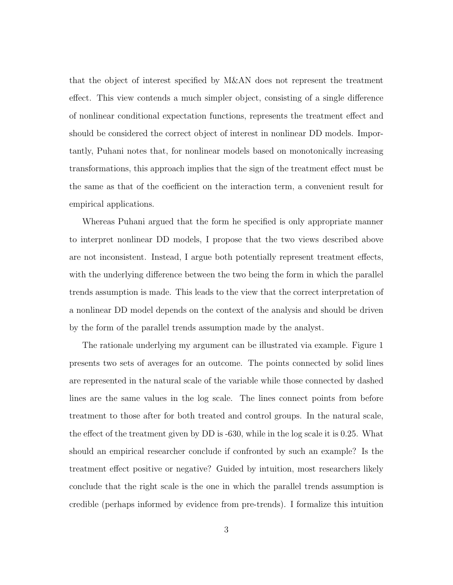that the object of interest specified by M&AN does not represent the treatment effect. This view contends a much simpler object, consisting of a single difference of nonlinear conditional expectation functions, represents the treatment effect and should be considered the correct object of interest in nonlinear DD models. Importantly, Puhani notes that, for nonlinear models based on monotonically increasing transformations, this approach implies that the sign of the treatment effect must be the same as that of the coefficient on the interaction term, a convenient result for empirical applications.

Whereas Puhani argued that the form he specified is only appropriate manner to interpret nonlinear DD models, I propose that the two views described above are not inconsistent. Instead, I argue both potentially represent treatment effects, with the underlying difference between the two being the form in which the parallel trends assumption is made. This leads to the view that the correct interpretation of a nonlinear DD model depends on the context of the analysis and should be driven by the form of the parallel trends assumption made by the analyst.

The rationale underlying my argument can be illustrated via example. Figure 1 presents two sets of averages for an outcome. The points connected by solid lines are represented in the natural scale of the variable while those connected by dashed lines are the same values in the log scale. The lines connect points from before treatment to those after for both treated and control groups. In the natural scale, the effect of the treatment given by DD is -630, while in the log scale it is 0.25. What should an empirical researcher conclude if confronted by such an example? Is the treatment effect positive or negative? Guided by intuition, most researchers likely conclude that the right scale is the one in which the parallel trends assumption is credible (perhaps informed by evidence from pre-trends). I formalize this intuition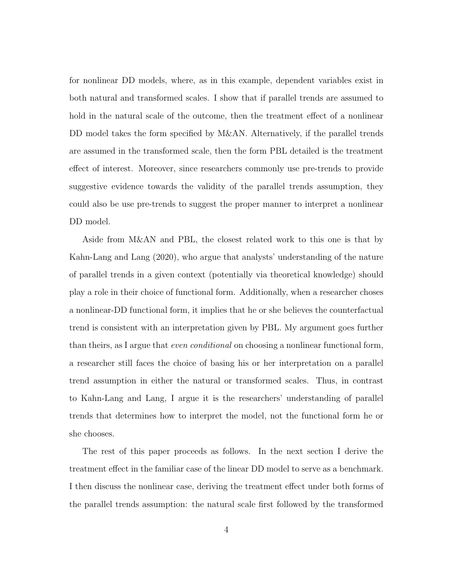for nonlinear DD models, where, as in this example, dependent variables exist in both natural and transformed scales. I show that if parallel trends are assumed to hold in the natural scale of the outcome, then the treatment effect of a nonlinear DD model takes the form specified by M&AN. Alternatively, if the parallel trends are assumed in the transformed scale, then the form PBL detailed is the treatment effect of interest. Moreover, since researchers commonly use pre-trends to provide suggestive evidence towards the validity of the parallel trends assumption, they could also be use pre-trends to suggest the proper manner to interpret a nonlinear DD model.

Aside from M&AN and PBL, the closest related work to this one is that by Kahn-Lang and Lang (2020), who argue that analysts' understanding of the nature of parallel trends in a given context (potentially via theoretical knowledge) should play a role in their choice of functional form. Additionally, when a researcher choses a nonlinear-DD functional form, it implies that he or she believes the counterfactual trend is consistent with an interpretation given by PBL. My argument goes further than theirs, as I argue that *even conditional* on choosing a nonlinear functional form, a researcher still faces the choice of basing his or her interpretation on a parallel trend assumption in either the natural or transformed scales. Thus, in contrast to Kahn-Lang and Lang, I argue it is the researchers' understanding of parallel trends that determines how to interpret the model, not the functional form he or she chooses.

The rest of this paper proceeds as follows. In the next section I derive the treatment effect in the familiar case of the linear DD model to serve as a benchmark. I then discuss the nonlinear case, deriving the treatment effect under both forms of the parallel trends assumption: the natural scale first followed by the transformed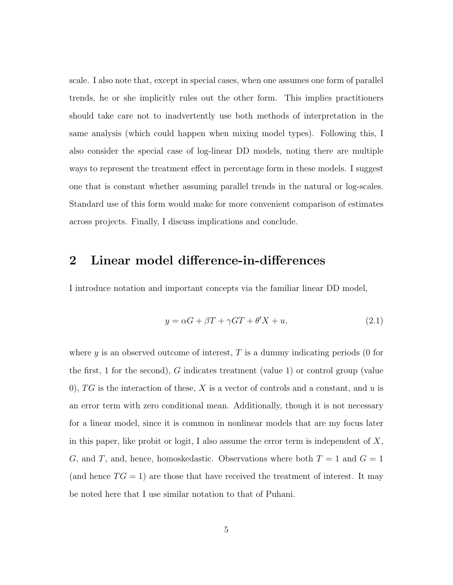scale. I also note that, except in special cases, when one assumes one form of parallel trends, he or she implicitly rules out the other form. This implies practitioners should take care not to inadvertently use both methods of interpretation in the same analysis (which could happen when mixing model types). Following this, I also consider the special case of log-linear DD models, noting there are multiple ways to represent the treatment effect in percentage form in these models. I suggest one that is constant whether assuming parallel trends in the natural or log-scales. Standard use of this form would make for more convenient comparison of estimates across projects. Finally, I discuss implications and conclude.

### 2 Linear model difference-in-differences

I introduce notation and important concepts via the familiar linear DD model,

$$
y = \alpha G + \beta T + \gamma GT + \theta' X + u,\tag{2.1}
$$

where  $y$  is an observed outcome of interest,  $T$  is a dummy indicating periods (0 for the first, 1 for the second), G indicates treatment (value 1) or control group (value 0), TG is the interaction of these, X is a vector of controls and a constant, and u is an error term with zero conditional mean. Additionally, though it is not necessary for a linear model, since it is common in nonlinear models that are my focus later in this paper, like probit or logit, I also assume the error term is independent of  $X$ , G, and T, and, hence, homoskedastic. Observations where both  $T = 1$  and  $G = 1$ (and hence  $TG = 1$ ) are those that have received the treatment of interest. It may be noted here that I use similar notation to that of Puhani.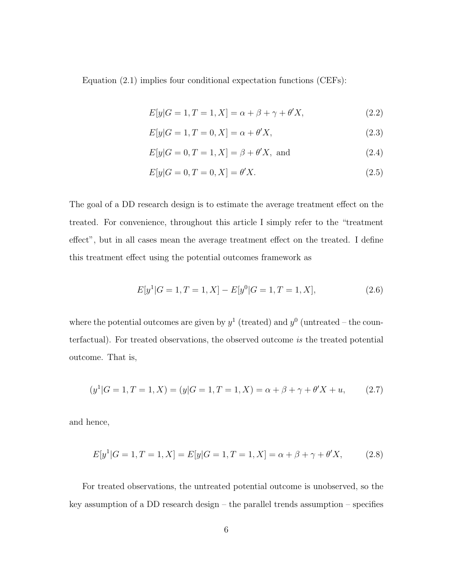Equation (2.1) implies four conditional expectation functions (CEFs):

$$
E[y|G=1, T=1, X] = \alpha + \beta + \gamma + \theta'X,
$$
\n(2.2)

$$
E[y|G = 1, T = 0, X] = \alpha + \theta'X,
$$
\n(2.3)

$$
E[y|G = 0, T = 1, X] = \beta + \theta'X, \text{ and} \qquad (2.4)
$$

$$
E[y|G = 0, T = 0, X] = \theta'X.
$$
\n(2.5)

The goal of a DD research design is to estimate the average treatment effect on the treated. For convenience, throughout this article I simply refer to the "treatment effect", but in all cases mean the average treatment effect on the treated. I define this treatment effect using the potential outcomes framework as

$$
E[y1|G = 1, T = 1, X] - E[y0|G = 1, T = 1, X],
$$
\n(2.6)

where the potential outcomes are given by  $y^1$  (treated) and  $y^0$  (untreated – the counterfactual). For treated observations, the observed outcome is the treated potential outcome. That is,

$$
(y1|G = 1, T = 1, X) = (y|G = 1, T = 1, X) = \alpha + \beta + \gamma + \theta'X + u,
$$
 (2.7)

and hence,

$$
E[y1|G = 1, T = 1, X] = E[y|G = 1, T = 1, X] = \alpha + \beta + \gamma + \theta'X,
$$
 (2.8)

For treated observations, the untreated potential outcome is unobserved, so the key assumption of a DD research design – the parallel trends assumption – specifies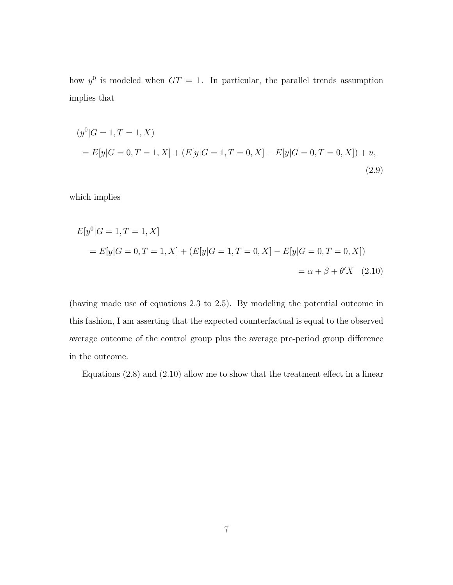how  $y^0$  is modeled when  $GT = 1$ . In particular, the parallel trends assumption implies that

$$
(y0|G = 1, T = 1, X)
$$
  
=  $E[y|G = 0, T = 1, X] + (E[y|G = 1, T = 0, X] - E[y|G = 0, T = 0, X]) + u,$   
(2.9)

which implies

$$
E[y0|G = 1, T = 1, X]
$$
  
=  $E[y|G = 0, T = 1, X] + (E[y|G = 1, T = 0, X] - E[y|G = 0, T = 0, X])$   
=  $\alpha + \beta + \theta'X$  (2.10)

(having made use of equations 2.3 to 2.5). By modeling the potential outcome in this fashion, I am asserting that the expected counterfactual is equal to the observed average outcome of the control group plus the average pre-period group difference in the outcome.

Equations (2.8) and (2.10) allow me to show that the treatment effect in a linear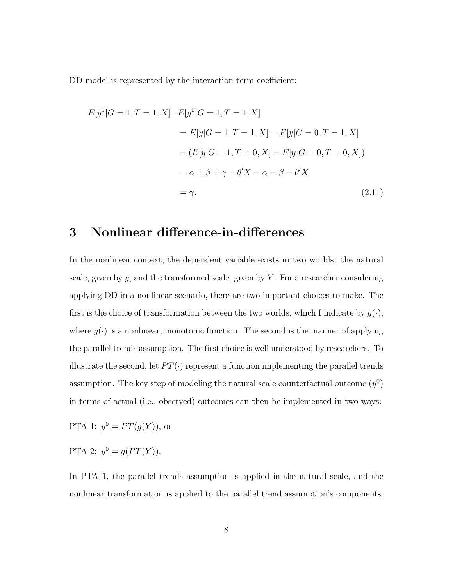DD model is represented by the interaction term coefficient:

$$
E[y1|G = 1, T = 1, X] - E[y0|G = 1, T = 1, X]
$$
  
=  $E[y|G = 1, T = 1, X] - E[y|G = 0, T = 1, X]$   
 $- (E[y|G = 1, T = 0, X] - E[y|G = 0, T = 0, X])$   
=  $\alpha + \beta + \gamma + \theta'X - \alpha - \beta - \theta'X$   
=  $\gamma$ . (2.11)

## 3 Nonlinear difference-in-differences

In the nonlinear context, the dependent variable exists in two worlds: the natural scale, given by  $y$ , and the transformed scale, given by  $Y$ . For a researcher considering applying DD in a nonlinear scenario, there are two important choices to make. The first is the choice of transformation between the two worlds, which I indicate by  $g(\cdot)$ , where  $g(\cdot)$  is a nonlinear, monotonic function. The second is the manner of applying the parallel trends assumption. The first choice is well understood by researchers. To illustrate the second, let  $PT(\cdot)$  represent a function implementing the parallel trends assumption. The key step of modeling the natural scale counterfactual outcome  $(y^0)$ in terms of actual (i.e., observed) outcomes can then be implemented in two ways:

PTA 1:  $y^0 = PT(g(Y))$ , or

PTA 2:  $y^0 = g(PT(Y)).$ 

In PTA 1, the parallel trends assumption is applied in the natural scale, and the nonlinear transformation is applied to the parallel trend assumption's components.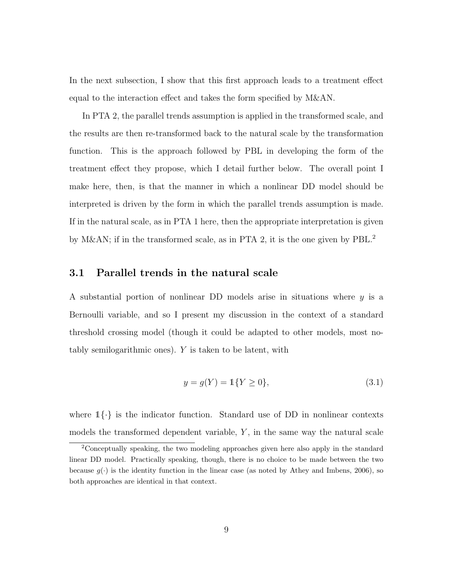In the next subsection, I show that this first approach leads to a treatment effect equal to the interaction effect and takes the form specified by M&AN.

In PTA 2, the parallel trends assumption is applied in the transformed scale, and the results are then re-transformed back to the natural scale by the transformation function. This is the approach followed by PBL in developing the form of the treatment effect they propose, which I detail further below. The overall point I make here, then, is that the manner in which a nonlinear DD model should be interpreted is driven by the form in which the parallel trends assumption is made. If in the natural scale, as in PTA 1 here, then the appropriate interpretation is given by M&AN; if in the transformed scale, as in PTA 2, it is the one given by PBL.<sup>2</sup>

#### 3.1 Parallel trends in the natural scale

A substantial portion of nonlinear DD models arise in situations where  $y$  is a Bernoulli variable, and so I present my discussion in the context of a standard threshold crossing model (though it could be adapted to other models, most notably semilogarithmic ones). Y is taken to be latent, with

$$
y = g(Y) = \mathbb{1}\{Y \ge 0\},\tag{3.1}
$$

where  $1\{\cdot\}$  is the indicator function. Standard use of DD in nonlinear contexts models the transformed dependent variable,  $Y$ , in the same way the natural scale

<sup>&</sup>lt;sup>2</sup>Conceptually speaking, the two modeling approaches given here also apply in the standard linear DD model. Practically speaking, though, there is no choice to be made between the two because  $g(\cdot)$  is the identity function in the linear case (as noted by Athey and Imbens, 2006), so both approaches are identical in that context.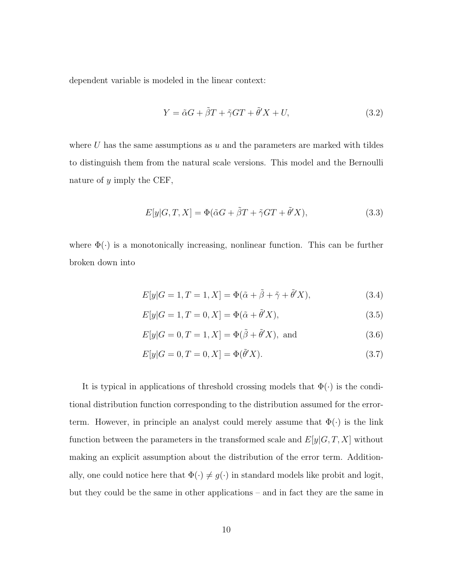dependent variable is modeled in the linear context:

$$
Y = \tilde{\alpha}G + \tilde{\beta}T + \tilde{\gamma}GT + \tilde{\theta}'X + U,\tag{3.2}
$$

where  $U$  has the same assumptions as  $u$  and the parameters are marked with tildes to distinguish them from the natural scale versions. This model and the Bernoulli nature of  $y$  imply the CEF,

$$
E[y|G,T,X] = \Phi(\tilde{\alpha}G + \tilde{\beta}T + \tilde{\gamma}GT + \tilde{\theta}'X), \qquad (3.3)
$$

where  $\Phi(\cdot)$  is a monotonically increasing, nonlinear function. This can be further broken down into

$$
E[y|G=1, T=1, X] = \Phi(\tilde{\alpha} + \tilde{\beta} + \tilde{\gamma} + \tilde{\theta}'X), \tag{3.4}
$$

$$
E[y|G=1, T=0, X] = \Phi(\tilde{\alpha} + \tilde{\theta}'X), \qquad (3.5)
$$

$$
E[y|G=0, T=1, X] = \Phi(\tilde{\beta} + \tilde{\theta}'X), \text{ and } (3.6)
$$

$$
E[y|G=0, T=0, X] = \Phi(\tilde{\theta}'X). \tag{3.7}
$$

It is typical in applications of threshold crossing models that  $\Phi(\cdot)$  is the conditional distribution function corresponding to the distribution assumed for the errorterm. However, in principle an analyst could merely assume that  $\Phi(\cdot)$  is the link function between the parameters in the transformed scale and  $E[y|G, T, X]$  without making an explicit assumption about the distribution of the error term. Additionally, one could notice here that  $\Phi(\cdot) \neq g(\cdot)$  in standard models like probit and logit, but they could be the same in other applications – and in fact they are the same in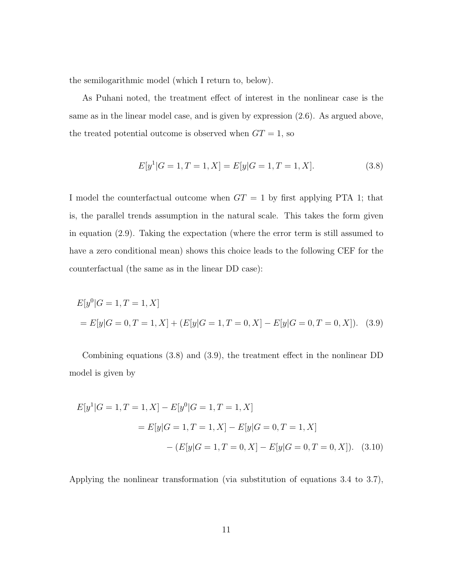the semilogarithmic model (which I return to, below).

As Puhani noted, the treatment effect of interest in the nonlinear case is the same as in the linear model case, and is given by expression (2.6). As argued above, the treated potential outcome is observed when  $GT = 1$ , so

$$
E[y1|G = 1, T = 1, X] = E[y|G = 1, T = 1, X].
$$
\n(3.8)

I model the counterfactual outcome when  $GT = 1$  by first applying PTA 1; that is, the parallel trends assumption in the natural scale. This takes the form given in equation (2.9). Taking the expectation (where the error term is still assumed to have a zero conditional mean) shows this choice leads to the following CEF for the counterfactual (the same as in the linear DD case):

$$
E[y0|G = 1, T = 1, X]
$$
  
=  $E[y|G = 0, T = 1, X] + (E[y|G = 1, T = 0, X] - E[y|G = 0, T = 0, X]).$  (3.9)

Combining equations (3.8) and (3.9), the treatment effect in the nonlinear DD model is given by

$$
E[y1|G = 1, T = 1, X] - E[y0|G = 1, T = 1, X]
$$
  
=  $E[y|G = 1, T = 1, X] - E[y|G = 0, T = 1, X]$   
-  $(E[y|G = 1, T = 0, X] - E[y|G = 0, T = 0, X]).$  (3.10)

Applying the nonlinear transformation (via substitution of equations 3.4 to 3.7),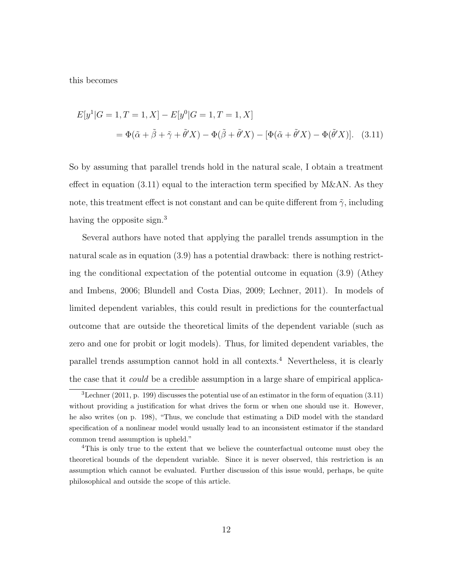this becomes

$$
E[y1|G = 1, T = 1, X] - E[y0|G = 1, T = 1, X]
$$
  
=  $\Phi(\tilde{\alpha} + \tilde{\beta} + \tilde{\gamma} + \tilde{\theta}'X) - \Phi(\tilde{\beta} + \tilde{\theta}'X) - [\Phi(\tilde{\alpha} + \tilde{\theta}'X) - \Phi(\tilde{\theta}'X)].$  (3.11)

So by assuming that parallel trends hold in the natural scale, I obtain a treatment effect in equation (3.11) equal to the interaction term specified by M&AN. As they note, this treatment effect is not constant and can be quite different from  $\tilde{\gamma}$ , including having the opposite sign.<sup>3</sup>

Several authors have noted that applying the parallel trends assumption in the natural scale as in equation (3.9) has a potential drawback: there is nothing restricting the conditional expectation of the potential outcome in equation (3.9) (Athey and Imbens, 2006; Blundell and Costa Dias, 2009; Lechner, 2011). In models of limited dependent variables, this could result in predictions for the counterfactual outcome that are outside the theoretical limits of the dependent variable (such as zero and one for probit or logit models). Thus, for limited dependent variables, the parallel trends assumption cannot hold in all contexts.<sup>4</sup> Nevertheless, it is clearly the case that it *could* be a credible assumption in a large share of empirical applica-

 $3$ Lechner (2011, p. 199) discusses the potential use of an estimator in the form of equation (3.11) without providing a justification for what drives the form or when one should use it. However, he also writes (on p. 198), "Thus, we conclude that estimating a DiD model with the standard specification of a nonlinear model would usually lead to an inconsistent estimator if the standard common trend assumption is upheld."

<sup>4</sup>This is only true to the extent that we believe the counterfactual outcome must obey the theoretical bounds of the dependent variable. Since it is never observed, this restriction is an assumption which cannot be evaluated. Further discussion of this issue would, perhaps, be quite philosophical and outside the scope of this article.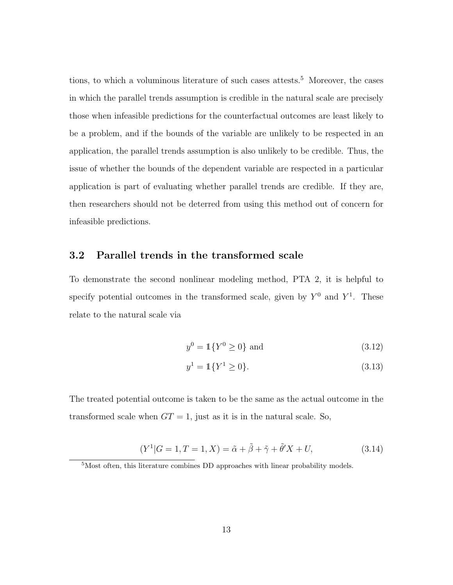tions, to which a voluminous literature of such cases attests.<sup>5</sup> Moreover, the cases in which the parallel trends assumption is credible in the natural scale are precisely those when infeasible predictions for the counterfactual outcomes are least likely to be a problem, and if the bounds of the variable are unlikely to be respected in an application, the parallel trends assumption is also unlikely to be credible. Thus, the issue of whether the bounds of the dependent variable are respected in a particular application is part of evaluating whether parallel trends are credible. If they are, then researchers should not be deterred from using this method out of concern for infeasible predictions.

#### 3.2 Parallel trends in the transformed scale

To demonstrate the second nonlinear modeling method, PTA 2, it is helpful to specify potential outcomes in the transformed scale, given by  $Y^0$  and  $Y^1$ . These relate to the natural scale via

$$
y^0 = \mathbb{1}\{Y^0 \ge 0\} \text{ and } \tag{3.12}
$$

$$
y^1 = \mathbb{1}\{Y^1 \ge 0\}.\tag{3.13}
$$

The treated potential outcome is taken to be the same as the actual outcome in the transformed scale when  $GT = 1$ , just as it is in the natural scale. So,

$$
(Y1|G = 1, T = 1, X) = \tilde{\alpha} + \tilde{\beta} + \tilde{\gamma} + \tilde{\theta}'X + U,
$$
 (3.14)

<sup>5</sup>Most often, this literature combines DD approaches with linear probability models.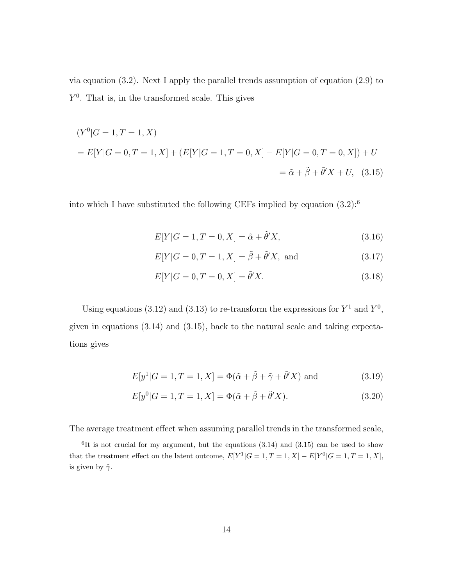via equation (3.2). Next I apply the parallel trends assumption of equation (2.9) to  $Y<sup>0</sup>$ . That is, in the transformed scale. This gives

$$
(Y0|G = 1, T = 1, X)
$$
  
=  $E[Y|G = 0, T = 1, X] + (E[Y|G = 1, T = 0, X] - E[Y|G = 0, T = 0, X]) + U$   
=  $\tilde{\alpha} + \tilde{\beta} + \tilde{\theta}'X + U$ , (3.15)

into which I have substituted the following CEFs implied by equation  $(3.2)$ :<sup>6</sup>

$$
E[Y|G=1, T=0, X] = \tilde{\alpha} + \tilde{\theta}'X,
$$
\n(3.16)

$$
E[Y|G=0, T=1, X] = \tilde{\beta} + \tilde{\theta}'X, \text{ and } (3.17)
$$

$$
E[Y|G = 0, T = 0, X] = \tilde{\theta}'X.
$$
\n(3.18)

Using equations (3.12) and (3.13) to re-transform the expressions for  $Y^1$  and  $Y^0$ , given in equations (3.14) and (3.15), back to the natural scale and taking expectations gives

$$
E[y1|G = 1, T = 1, X] = \Phi(\tilde{\alpha} + \tilde{\beta} + \tilde{\gamma} + \tilde{\theta}'X) \text{ and } (3.19)
$$

$$
E[y^{0}|G = 1, T = 1, X] = \Phi(\tilde{\alpha} + \tilde{\beta} + \tilde{\theta}'X).
$$
 (3.20)

The average treatment effect when assuming parallel trends in the transformed scale,

 ${}^{6}$ It is not crucial for my argument, but the equations  $(3.14)$  and  $(3.15)$  can be used to show that the treatment effect on the latent outcome,  $E[Y^1|G=1, T=1, X] - E[Y^0|G=1, T=1, X]$ , is given by  $\tilde{\gamma}$ .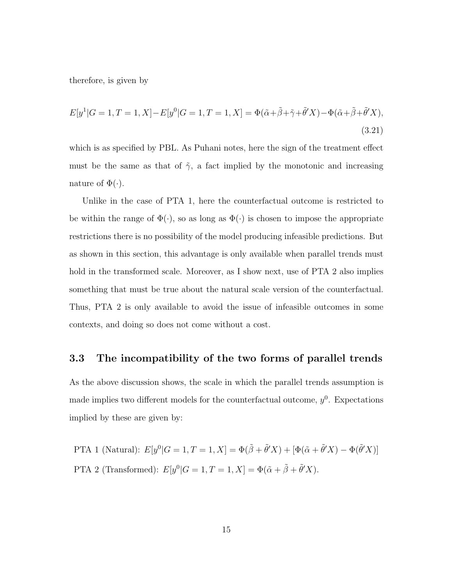therefore, is given by

$$
E[y1|G = 1, T = 1, X] - E[y0|G = 1, T = 1, X] = \Phi(\tilde{\alpha} + \tilde{\beta} + \tilde{\gamma} + \tilde{\theta}'X) - \Phi(\tilde{\alpha} + \tilde{\beta} + \tilde{\theta}'X),
$$
\n(3.21)

which is as specified by PBL. As Puhani notes, here the sign of the treatment effect must be the same as that of  $\tilde{\gamma}$ , a fact implied by the monotonic and increasing nature of  $\Phi(\cdot)$ .

Unlike in the case of PTA 1, here the counterfactual outcome is restricted to be within the range of  $\Phi(\cdot)$ , so as long as  $\Phi(\cdot)$  is chosen to impose the appropriate restrictions there is no possibility of the model producing infeasible predictions. But as shown in this section, this advantage is only available when parallel trends must hold in the transformed scale. Moreover, as I show next, use of PTA 2 also implies something that must be true about the natural scale version of the counterfactual. Thus, PTA 2 is only available to avoid the issue of infeasible outcomes in some contexts, and doing so does not come without a cost.

#### 3.3 The incompatibility of the two forms of parallel trends

As the above discussion shows, the scale in which the parallel trends assumption is made implies two different models for the counterfactual outcome,  $y^0$ . Expectations implied by these are given by:

PTA 1 (Natural):  $E[y^0|G=1, T=1, X] = \Phi(\tilde{\beta} + \tilde{\theta}'X) + [\Phi(\tilde{\alpha} + \tilde{\theta}'X) - \Phi(\tilde{\theta}'X)]$ PTA 2 (Transformed):  $E[y^0|G = 1, T = 1, X] = \Phi(\tilde{\alpha} + \tilde{\beta} + \tilde{\theta}'X)$ .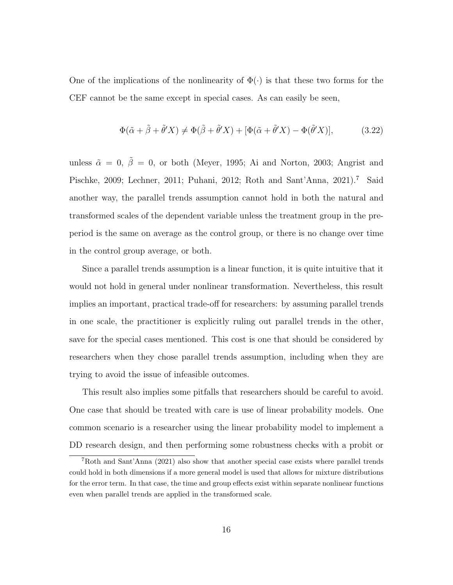One of the implications of the nonlinearity of  $\Phi(\cdot)$  is that these two forms for the CEF cannot be the same except in special cases. As can easily be seen,

$$
\Phi(\tilde{\alpha} + \tilde{\beta} + \tilde{\theta}'X) \neq \Phi(\tilde{\beta} + \tilde{\theta}'X) + [\Phi(\tilde{\alpha} + \tilde{\theta}'X) - \Phi(\tilde{\theta}'X)],
$$
\n(3.22)

unless  $\tilde{\alpha} = 0$ ,  $\tilde{\beta} = 0$ , or both (Meyer, 1995; Ai and Norton, 2003; Angrist and Pischke, 2009; Lechner, 2011; Puhani, 2012; Roth and Sant'Anna, 2021).<sup>7</sup> Said another way, the parallel trends assumption cannot hold in both the natural and transformed scales of the dependent variable unless the treatment group in the preperiod is the same on average as the control group, or there is no change over time in the control group average, or both.

Since a parallel trends assumption is a linear function, it is quite intuitive that it would not hold in general under nonlinear transformation. Nevertheless, this result implies an important, practical trade-off for researchers: by assuming parallel trends in one scale, the practitioner is explicitly ruling out parallel trends in the other, save for the special cases mentioned. This cost is one that should be considered by researchers when they chose parallel trends assumption, including when they are trying to avoid the issue of infeasible outcomes.

This result also implies some pitfalls that researchers should be careful to avoid. One case that should be treated with care is use of linear probability models. One common scenario is a researcher using the linear probability model to implement a DD research design, and then performing some robustness checks with a probit or

<sup>7</sup>Roth and Sant'Anna (2021) also show that another special case exists where parallel trends could hold in both dimensions if a more general model is used that allows for mixture distributions for the error term. In that case, the time and group effects exist within separate nonlinear functions even when parallel trends are applied in the transformed scale.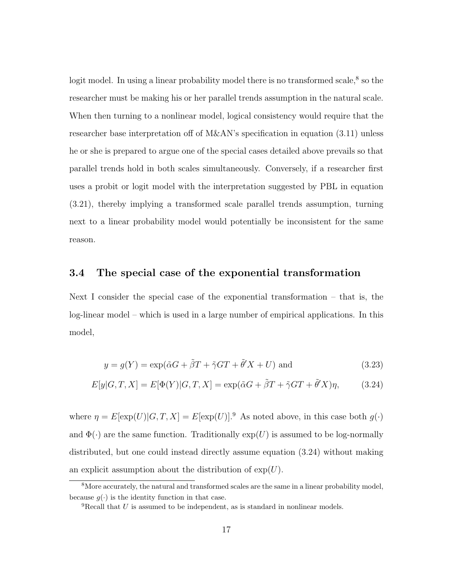logit model. In using a linear probability model there is no transformed scale,<sup>8</sup> so the researcher must be making his or her parallel trends assumption in the natural scale. When then turning to a nonlinear model, logical consistency would require that the researcher base interpretation off of M&AN's specification in equation (3.11) unless he or she is prepared to argue one of the special cases detailed above prevails so that parallel trends hold in both scales simultaneously. Conversely, if a researcher first uses a probit or logit model with the interpretation suggested by PBL in equation (3.21), thereby implying a transformed scale parallel trends assumption, turning next to a linear probability model would potentially be inconsistent for the same reason.

#### 3.4 The special case of the exponential transformation

Next I consider the special case of the exponential transformation – that is, the log-linear model – which is used in a large number of empirical applications. In this model,

$$
y = g(Y) = \exp(\tilde{\alpha}G + \tilde{\beta}T + \tilde{\gamma}GT + \tilde{\theta}'X + U) \text{ and } (3.23)
$$

$$
E[y|G,T,X] = E[\Phi(Y)|G,T,X] = \exp(\tilde{\alpha}G + \tilde{\beta}T + \tilde{\gamma}GT + \tilde{\theta}'X)\eta, \qquad (3.24)
$$

where  $\eta = E[\exp(U)|G, T, X] = E[\exp(U)]$ .<sup>9</sup> As noted above, in this case both  $g(\cdot)$ and  $\Phi(\cdot)$  are the same function. Traditionally  $\exp(U)$  is assumed to be log-normally distributed, but one could instead directly assume equation (3.24) without making an explicit assumption about the distribution of  $\exp(U)$ .

<sup>8</sup>More accurately, the natural and transformed scales are the same in a linear probability model, because  $q(.)$  is the identity function in that case.

 ${}^{9}$ Recall that U is assumed to be independent, as is standard in nonlinear models.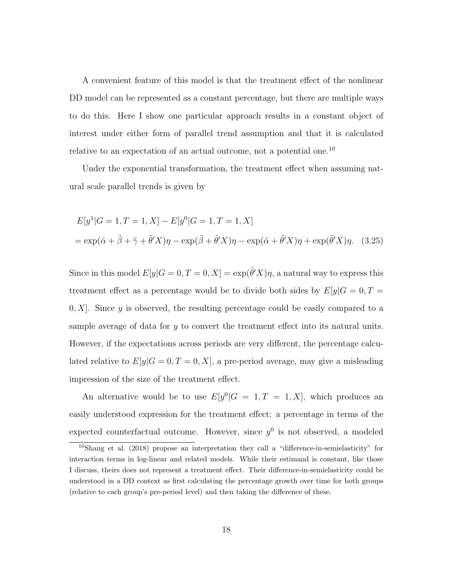A convenient feature of this model is that the treatment effect of the nonlinear DD model can be represented as a constant percentage, but there are multiple ways to do this. Here I show one particular approach results in a constant object of interest under either form of parallel trend assumption and that it is calculated relative to an expectation of an actual outcome, not a potential one.<sup>10</sup>

Under the exponential transformation, the treatment effect when assuming natural scale parallel trends is given by

$$
E[y1|G = 1, T = 1, X] - E[y0|G = 1, T = 1, X]
$$
  
=  $\exp(\tilde{\alpha} + \tilde{\beta} + \tilde{\gamma} + \tilde{\theta}'X)\eta - \exp(\tilde{\beta} + \tilde{\theta}'X)\eta - \exp(\tilde{\alpha} + \tilde{\theta}'X)\eta + \exp(\tilde{\theta}'X)\eta.$  (3.25)

Since in this model  $E[y|G=0, T=0, X] = \exp(\tilde{\theta}^t X)\eta$ , a natural way to express this treatment effect as a percentage would be to divide both sides by  $E[y|G=0, T=0]$  $[0, X]$ . Since y is observed, the resulting percentage could be easily compared to a sample average of data for y to convert the treatment effect into its natural units. However, if the expectations across periods are very different, the percentage calculated relative to  $E[y|G=0, T=0, X]$ , a pre-period average, may give a misleading impression of the size of the treatment effect.

An alternative would be to use  $E[y^0|G = 1, T = 1, X]$ , which produces an easily understood expression for the treatment effect: a percentage in terms of the expected counterfactual outcome. However, since  $y^0$  is not observed, a modeled

<sup>&</sup>lt;sup>10</sup>Shang et al. (2018) propose an interpretation they call a "difference-in-semielasticity" for interaction terms in log-linear and related models. While their estimand is constant, like those I discuss, theirs does not represent a treatment effect. Their difference-in-semielasticity could be understood in a DD context as first calculating the percentage growth over time for both groups (relative to each group's pre-period level) and then taking the difference of these.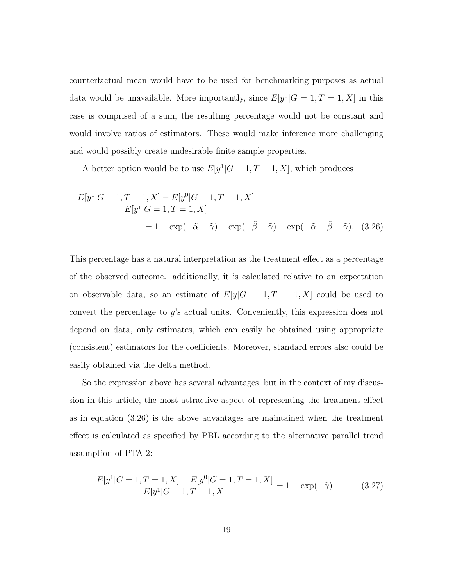counterfactual mean would have to be used for benchmarking purposes as actual data would be unavailable. More importantly, since  $E[y^0|G = 1, T = 1, X]$  in this case is comprised of a sum, the resulting percentage would not be constant and would involve ratios of estimators. These would make inference more challenging and would possibly create undesirable finite sample properties.

A better option would be to use  $E[y^1|G = 1, T = 1, X]$ , which produces

$$
\frac{E[y^1|G=1, T=1, X] - E[y^0|G=1, T=1, X]}{E[y^1|G=1, T=1, X]}
$$
  
= 1 - exp(- $\tilde{\alpha}$  -  $\tilde{\gamma}$ ) - exp(- $\tilde{\beta}$  -  $\tilde{\gamma}$ ) + exp(- $\tilde{\alpha}$  -  $\tilde{\beta}$  -  $\tilde{\gamma}$ ). (3.26)

This percentage has a natural interpretation as the treatment effect as a percentage of the observed outcome. additionally, it is calculated relative to an expectation on observable data, so an estimate of  $E[y|G = 1, T = 1, X]$  could be used to convert the percentage to  $y$ 's actual units. Conveniently, this expression does not depend on data, only estimates, which can easily be obtained using appropriate (consistent) estimators for the coefficients. Moreover, standard errors also could be easily obtained via the delta method.

So the expression above has several advantages, but in the context of my discussion in this article, the most attractive aspect of representing the treatment effect as in equation (3.26) is the above advantages are maintained when the treatment effect is calculated as specified by PBL according to the alternative parallel trend assumption of PTA 2:

$$
\frac{E[y^1|G=1, T=1, X] - E[y^0|G=1, T=1, X]}{E[y^1|G=1, T=1, X]} = 1 - \exp(-\tilde{\gamma}).
$$
\n(3.27)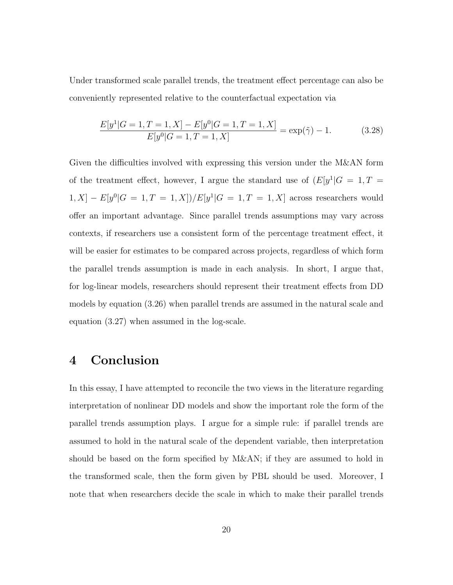Under transformed scale parallel trends, the treatment effect percentage can also be conveniently represented relative to the counterfactual expectation via

$$
\frac{E[y^1|G=1, T=1, X] - E[y^0|G=1, T=1, X]}{E[y^0|G=1, T=1, X]} = \exp(\tilde{\gamma}) - 1.
$$
 (3.28)

Given the difficulties involved with expressing this version under the M&AN form of the treatment effect, however, I argue the standard use of  $(E[y^1|G = 1, T =$  $[1, X] - E[y^0 | G = 1, T = 1, X] / E[y^1 | G = 1, T = 1, X]$  across researchers would offer an important advantage. Since parallel trends assumptions may vary across contexts, if researchers use a consistent form of the percentage treatment effect, it will be easier for estimates to be compared across projects, regardless of which form the parallel trends assumption is made in each analysis. In short, I argue that, for log-linear models, researchers should represent their treatment effects from DD models by equation (3.26) when parallel trends are assumed in the natural scale and equation (3.27) when assumed in the log-scale.

## 4 Conclusion

In this essay, I have attempted to reconcile the two views in the literature regarding interpretation of nonlinear DD models and show the important role the form of the parallel trends assumption plays. I argue for a simple rule: if parallel trends are assumed to hold in the natural scale of the dependent variable, then interpretation should be based on the form specified by M&AN; if they are assumed to hold in the transformed scale, then the form given by PBL should be used. Moreover, I note that when researchers decide the scale in which to make their parallel trends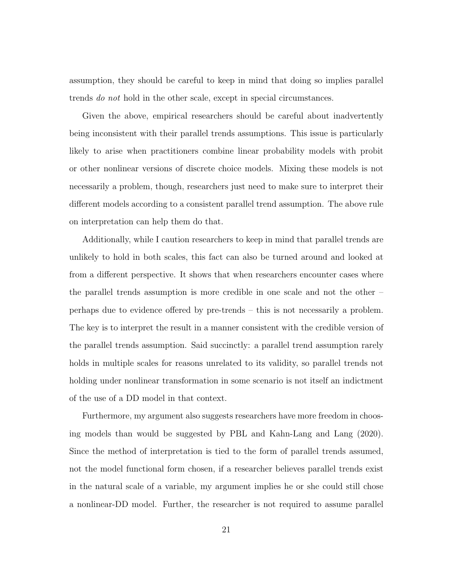assumption, they should be careful to keep in mind that doing so implies parallel trends do not hold in the other scale, except in special circumstances.

Given the above, empirical researchers should be careful about inadvertently being inconsistent with their parallel trends assumptions. This issue is particularly likely to arise when practitioners combine linear probability models with probit or other nonlinear versions of discrete choice models. Mixing these models is not necessarily a problem, though, researchers just need to make sure to interpret their different models according to a consistent parallel trend assumption. The above rule on interpretation can help them do that.

Additionally, while I caution researchers to keep in mind that parallel trends are unlikely to hold in both scales, this fact can also be turned around and looked at from a different perspective. It shows that when researchers encounter cases where the parallel trends assumption is more credible in one scale and not the other – perhaps due to evidence offered by pre-trends – this is not necessarily a problem. The key is to interpret the result in a manner consistent with the credible version of the parallel trends assumption. Said succinctly: a parallel trend assumption rarely holds in multiple scales for reasons unrelated to its validity, so parallel trends not holding under nonlinear transformation in some scenario is not itself an indictment of the use of a DD model in that context.

Furthermore, my argument also suggests researchers have more freedom in choosing models than would be suggested by PBL and Kahn-Lang and Lang (2020). Since the method of interpretation is tied to the form of parallel trends assumed, not the model functional form chosen, if a researcher believes parallel trends exist in the natural scale of a variable, my argument implies he or she could still chose a nonlinear-DD model. Further, the researcher is not required to assume parallel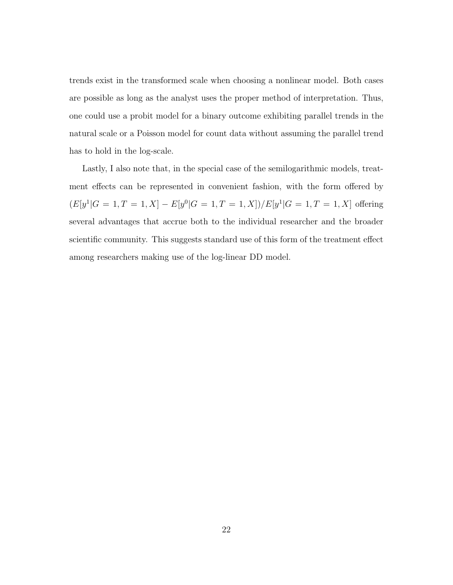trends exist in the transformed scale when choosing a nonlinear model. Both cases are possible as long as the analyst uses the proper method of interpretation. Thus, one could use a probit model for a binary outcome exhibiting parallel trends in the natural scale or a Poisson model for count data without assuming the parallel trend has to hold in the log-scale.

Lastly, I also note that, in the special case of the semilogarithmic models, treatment effects can be represented in convenient fashion, with the form offered by  $(E[y^1|G = 1, T = 1, X] - E[y^0|G = 1, T = 1, X]/E[y^1|G = 1, T = 1, X]$  offering several advantages that accrue both to the individual researcher and the broader scientific community. This suggests standard use of this form of the treatment effect among researchers making use of the log-linear DD model.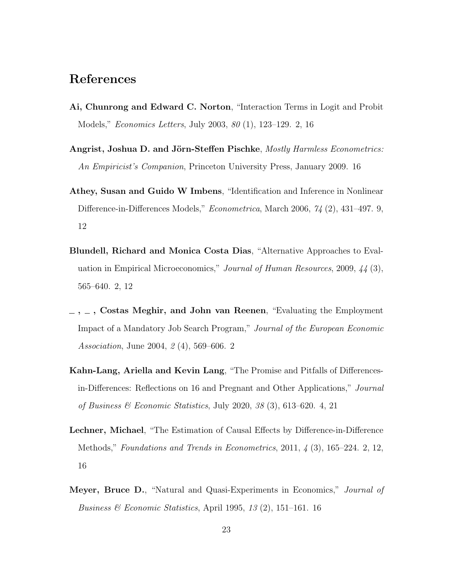## References

- Ai, Chunrong and Edward C. Norton, "Interaction Terms in Logit and Probit Models," Economics Letters, July 2003, 80 (1), 123–129. 2, 16
- Angrist, Joshua D. and Jörn-Steffen Pischke, Mostly Harmless Econometrics: An Empiricist's Companion, Princeton University Press, January 2009. 16
- Athey, Susan and Guido W Imbens, "Identification and Inference in Nonlinear Difference-in-Differences Models," *Econometrica*, March 2006, 74 (2), 431-497. 9, 12
- Blundell, Richard and Monica Costa Dias, "Alternative Approaches to Evaluation in Empirical Microeconomics," Journal of Human Resources, 2009, 44 (3), 565–640. 2, 12
- $\ldots$ ,  $\ldots$ , Costas Meghir, and John van Reenen, "Evaluating the Employment" Impact of a Mandatory Job Search Program," Journal of the European Economic Association, June 2004, 2 (4), 569–606. 2
- Kahn-Lang, Ariella and Kevin Lang, "The Promise and Pitfalls of Differencesin-Differences: Reflections on 16 and Pregnant and Other Applications," Journal of Business  $\mathscr$  Economic Statistics, July 2020, 38 (3), 613–620. 4, 21
- Lechner, Michael, "The Estimation of Causal Effects by Difference-in-Difference Methods," Foundations and Trends in Econometrics,  $2011, 4$  (3),  $165-224$ . 2, 12, 16
- Meyer, Bruce D., "Natural and Quasi-Experiments in Economics," *Journal of Business & Economic Statistics, April 1995, 13 (2), 151–161. 16*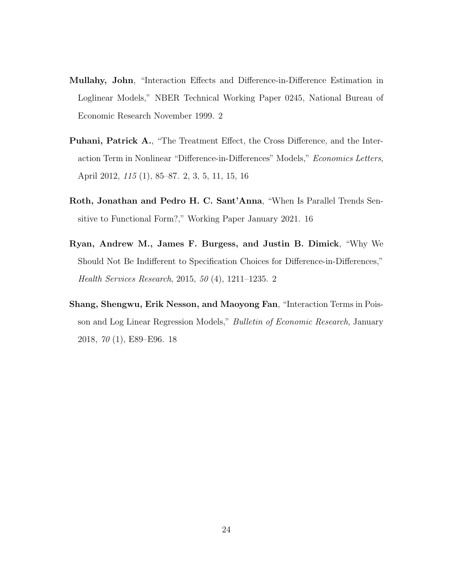- Mullahy, John, "Interaction Effects and Difference-in-Difference Estimation in Loglinear Models," NBER Technical Working Paper 0245, National Bureau of Economic Research November 1999. 2
- Puhani, Patrick A., "The Treatment Effect, the Cross Difference, and the Interaction Term in Nonlinear "Difference-in-Differences" Models," Economics Letters, April 2012, 115 (1), 85–87. 2, 3, 5, 11, 15, 16
- Roth, Jonathan and Pedro H. C. Sant'Anna, "When Is Parallel Trends Sensitive to Functional Form?," Working Paper January 2021. 16
- Ryan, Andrew M., James F. Burgess, and Justin B. Dimick, "Why We Should Not Be Indifferent to Specification Choices for Difference-in-Differences," Health Services Research, 2015, 50 (4), 1211–1235. 2
- Shang, Shengwu, Erik Nesson, and Maoyong Fan, "Interaction Terms in Poisson and Log Linear Regression Models," Bulletin of Economic Research, January 2018, 70 (1), E89–E96. 18